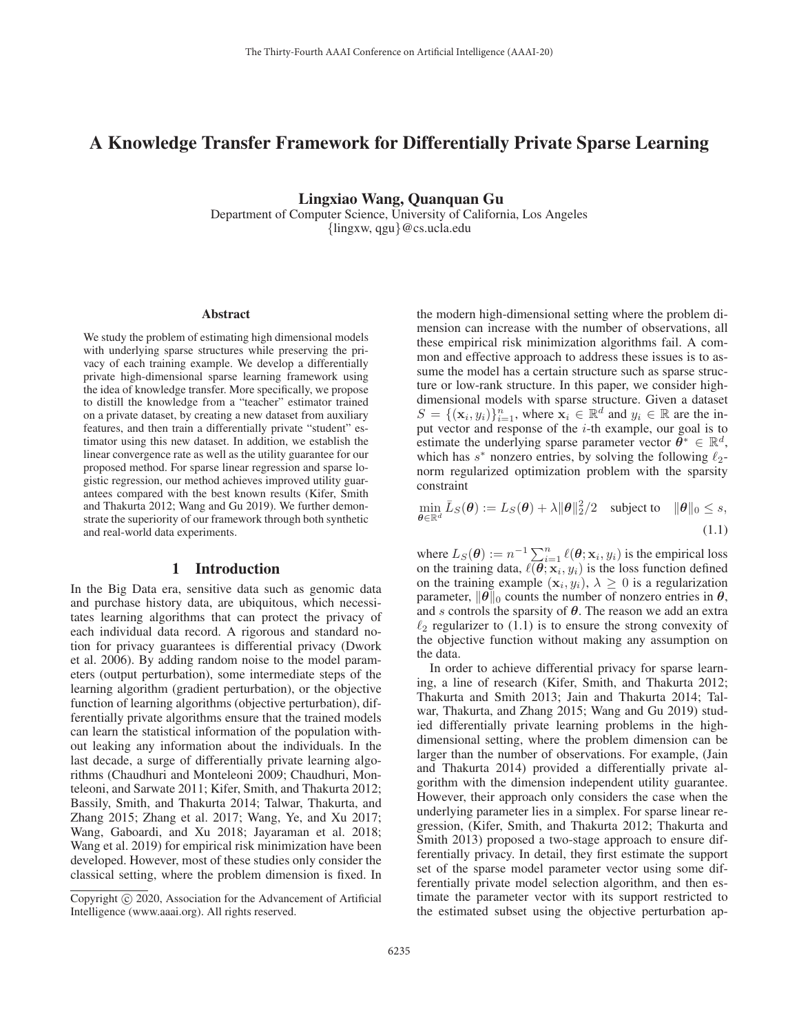# A Knowledge Transfer Framework for Differentially Private Sparse Learning

Lingxiao Wang, Quanquan Gu Department of Computer Science, University of California, Los Angeles

{lingxw, qgu}@cs.ucla.edu

#### Abstract

We study the problem of estimating high dimensional models with underlying sparse structures while preserving the privacy of each training example. We develop a differentially private high-dimensional sparse learning framework using the idea of knowledge transfer. More specifically, we propose to distill the knowledge from a "teacher" estimator trained on a private dataset, by creating a new dataset from auxiliary features, and then train a differentially private "student" estimator using this new dataset. In addition, we establish the linear convergence rate as well as the utility guarantee for our proposed method. For sparse linear regression and sparse logistic regression, our method achieves improved utility guarantees compared with the best known results (Kifer, Smith and Thakurta 2012; Wang and Gu 2019). We further demonstrate the superiority of our framework through both synthetic and real-world data experiments.

## 1 Introduction

In the Big Data era, sensitive data such as genomic data and purchase history data, are ubiquitous, which necessitates learning algorithms that can protect the privacy of each individual data record. A rigorous and standard notion for privacy guarantees is differential privacy (Dwork et al. 2006). By adding random noise to the model parameters (output perturbation), some intermediate steps of the learning algorithm (gradient perturbation), or the objective function of learning algorithms (objective perturbation), differentially private algorithms ensure that the trained models can learn the statistical information of the population without leaking any information about the individuals. In the last decade, a surge of differentially private learning algorithms (Chaudhuri and Monteleoni 2009; Chaudhuri, Monteleoni, and Sarwate 2011; Kifer, Smith, and Thakurta 2012; Bassily, Smith, and Thakurta 2014; Talwar, Thakurta, and Zhang 2015; Zhang et al. 2017; Wang, Ye, and Xu 2017; Wang, Gaboardi, and Xu 2018; Jayaraman et al. 2018; Wang et al. 2019) for empirical risk minimization have been developed. However, most of these studies only consider the classical setting, where the problem dimension is fixed. In

the modern high-dimensional setting where the problem dimension can increase with the number of observations, all these empirical risk minimization algorithms fail. A common and effective approach to address these issues is to assume the model has a certain structure such as sparse structure or low-rank structure. In this paper, we consider highdimensional models with sparse structure. Given a dataset  $S = \{(\mathbf{x}_i, y_i)\}_{i=1}^n$ , where  $\mathbf{x}_i \in \mathbb{R}^d$  and  $y_i \in \mathbb{R}$  are the in-<br>put vector and response of the *i*-th example, our goal is to put vector and response of the  $i$ -th example, our goal is to estimate the underlying sparse parameter vector  $\theta^* \in \mathbb{R}^d$ , which has  $s^*$  nonzero entries, by solving the following  $\ell_2$ -<br>norm reqularized optimization problem with the sparsity norm regularized optimization problem with the sparsity constraint

$$
\min_{\boldsymbol{\theta} \in \mathbb{R}^d} \bar{L}_S(\boldsymbol{\theta}) := L_S(\boldsymbol{\theta}) + \lambda \|\boldsymbol{\theta}\|_2^2/2 \quad \text{subject to} \quad \|\boldsymbol{\theta}\|_0 \le s,
$$
\n(1.1)

where  $L_S(\theta) := n^{-1} \sum_{i=1}^n \ell(\theta; \mathbf{x}_i, y_i)$  is the empirical loss<br>on the training data,  $\ell(\theta; \mathbf{x}_i, y_i)$  is the loss function defined<br>on the training example  $(\mathbf{x}_i, y_i) \ge 0$  is a regularization on the training example  $(\mathbf{x}_i, y_i)$ ,  $\lambda \geq 0$  is a regularization parameter,  $\|\theta\|_0$  counts the number of nonzero entries in  $\theta$ , and s controls the sparsity of *θ*. The reason we add an extra  $\ell_2$  regularizer to (1.1) is to ensure the strong convexity of the objective function without making any assumption on the objective function without making any assumption on the data.

In order to achieve differential privacy for sparse learning, a line of research (Kifer, Smith, and Thakurta 2012; Thakurta and Smith 2013; Jain and Thakurta 2014; Talwar, Thakurta, and Zhang 2015; Wang and Gu 2019) studied differentially private learning problems in the highdimensional setting, where the problem dimension can be larger than the number of observations. For example, (Jain and Thakurta 2014) provided a differentially private algorithm with the dimension independent utility guarantee. However, their approach only considers the case when the underlying parameter lies in a simplex. For sparse linear regression, (Kifer, Smith, and Thakurta 2012; Thakurta and Smith 2013) proposed a two-stage approach to ensure differentially privacy. In detail, they first estimate the support set of the sparse model parameter vector using some differentially private model selection algorithm, and then estimate the parameter vector with its support restricted to the estimated subset using the objective perturbation ap-

Copyright  $\odot$  2020, Association for the Advancement of Artificial Intelligence (www.aaai.org). All rights reserved.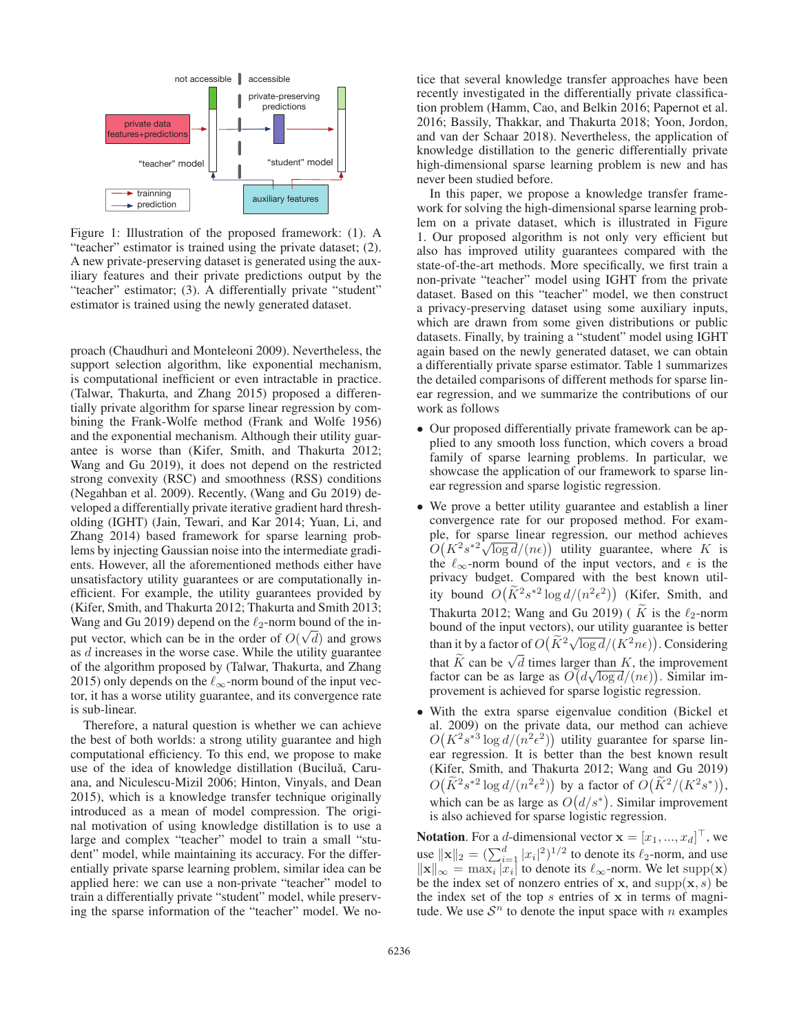

Figure 1: Illustration of the proposed framework: (1). A "teacher" estimator is trained using the private dataset; (2). A new private-preserving dataset is generated using the auxiliary features and their private predictions output by the "teacher" estimator; (3). A differentially private "student" estimator is trained using the newly generated dataset.

proach (Chaudhuri and Monteleoni 2009). Nevertheless, the support selection algorithm, like exponential mechanism, is computational inefficient or even intractable in practice. (Talwar, Thakurta, and Zhang 2015) proposed a differentially private algorithm for sparse linear regression by combining the Frank-Wolfe method (Frank and Wolfe 1956) and the exponential mechanism. Although their utility guarantee is worse than (Kifer, Smith, and Thakurta 2012; Wang and Gu 2019), it does not depend on the restricted strong convexity (RSC) and smoothness (RSS) conditions (Negahban et al. 2009). Recently, (Wang and Gu 2019) developed a differentially private iterative gradient hard thresholding (IGHT) (Jain, Tewari, and Kar 2014; Yuan, Li, and Zhang 2014) based framework for sparse learning problems by injecting Gaussian noise into the intermediate gradients. However, all the aforementioned methods either have unsatisfactory utility guarantees or are computationally inefficient. For example, the utility guarantees provided by (Kifer, Smith, and Thakurta 2012; Thakurta and Smith 2013; Wang and Gu 2019) depend on the  $\ell_2$ -norm bound of the in-<br>nut wester, which can be in the ender of  $O(\sqrt{d})$  and answer put vector, which can be in the order of  $O(\sqrt{d})$  and grows as d increases in the worse case. While the utility guarantee as *d* increases in the worse case. While the utility guarantee of the algorithm proposed by (Talwar, Thakurta, and Zhang 2015) only depends on the  $\ell_{\infty}$ -norm bound of the input vector, it has a worse utility guarantee, and its convergence rate is sub-linear.

Therefore, a natural question is whether we can achieve the best of both worlds: a strong utility guarantee and high computational efficiency. To this end, we propose to make use of the idea of knowledge distillation (Buciluă, Caruana, and Niculescu-Mizil 2006; Hinton, Vinyals, and Dean 2015), which is a knowledge transfer technique originally introduced as a mean of model compression. The original motivation of using knowledge distillation is to use a large and complex "teacher" model to train a small "student" model, while maintaining its accuracy. For the differentially private sparse learning problem, similar idea can be applied here: we can use a non-private "teacher" model to train a differentially private "student" model, while preserving the sparse information of the "teacher" model. We no-

tice that several knowledge transfer approaches have been recently investigated in the differentially private classification problem (Hamm, Cao, and Belkin 2016; Papernot et al. 2016; Bassily, Thakkar, and Thakurta 2018; Yoon, Jordon, and van der Schaar 2018). Nevertheless, the application of knowledge distillation to the generic differentially private high-dimensional sparse learning problem is new and has never been studied before.

In this paper, we propose a knowledge transfer framework for solving the high-dimensional sparse learning problem on a private dataset, which is illustrated in Figure 1. Our proposed algorithm is not only very efficient but also has improved utility guarantees compared with the state-of-the-art methods. More specifically, we first train a non-private "teacher" model using IGHT from the private dataset. Based on this "teacher" model, we then construct a privacy-preserving dataset using some auxiliary inputs, which are drawn from some given distributions or public datasets. Finally, by training a "student" model using IGHT again based on the newly generated dataset, we can obtain a differentially private sparse estimator. Table 1 summarizes the detailed comparisons of different methods for sparse linear regression, and we summarize the contributions of our work as follows

- Our proposed differentially private framework can be applied to any smooth loss function, which covers a broad family of sparse learning problems. In particular, we showcase the application of our framework to sparse linear regression and sparse logistic regression.
- We prove a better utility guarantee and establish a liner convergence rate for our proposed method. For example, for sparse linear regression, our method achieves ple, for sparse linear regression, our method achieves<br>  $O(K^2 s^{*2} \sqrt{\log d}/(n\epsilon))$  utility guarantee, where K is<br>
the L<sub>ss</sub>-norm bound of the input vectors and  $\epsilon$  is the the  $\ell_{\infty}$ -norm bound of the input vectors, and  $\epsilon$  is the privacy budget. Compared with the best known utility bound  $O(\widetilde{K}^2 s^{*2} \log d/(n^2 \epsilon^2))$  (Kifer, Smith, and Thakurta 2012; Wang and Gu 2019) ( $\widetilde{K}$  is the  $\ell_2$ -norm bound of the input vectors) our utility quarantee is better bound of the input vectors), our utility guarantee is better than it by a factor of  $O(\tilde{K}^2 \sqrt{\log d}/(K^2 n \epsilon))$ . Considering that  $\widetilde{K}$  can be  $\sqrt{d}$  times larger than  $K$ , the improvement factor can be as large as  $O\left(\frac{d\sqrt{\log d}}{n}\right)$ . Similar im-<br>provement is achieved for sparse logistic regression provement is achieved for sparse logistic regression.
- With the extra sparse eigenvalue condition (Bickel et al. 2009) on the private data, our method can achieve  $O(K^2 s^{*3} \log d/(n^2 \epsilon^2))$  utility guarantee for sparse linear regression. It is better than the best known result ear regression. It is better than the best known result (Kifer, Smith, and Thakurta 2012; Wang and Gu 2019)  $O(\widetilde{K}^2 s^{*2} \log d/(n^2 \epsilon^2))$  by a factor of  $O(\widetilde{K}^2/(K^2 s^*)),$ <br>which can be as large as  $O(d/\epsilon^*)$ . Similar improvement which can be as large as  $O(d/s^*)$ . Similar improvement is also achieved for sparse logistic regression.

**Notation.** For a *d*-dimensional vector  $\mathbf{x} = [x_1, ..., x_d]^\top$ , we use  $\|\mathbf{x}\|_2 = \left(\sum_{i=1}^d |x_i|^2\right)^{1/2}$  to denote its  $\ell_2$ -norm, and use  $\|\mathbf{x}\|_{\infty} = \max_i |x_i|$  to denote its  $\ell_2$ -norm. We let supp(**x**)  $\|\mathbf{x}\|_{\infty}^{\infty} = \max_{i} |\mathbf{x}_i|$  to denote its  $\ell_{\infty}$ -norm. We let supp(**x**) be the index set of nonzero entries of **x** and supp(**x** s) be be the index set of nonzero entries of **x**, and  $supp(x, s)$  be the index set of the top s entries of **x** in terms of magnitude. We use  $S<sup>n</sup>$  to denote the input space with n examples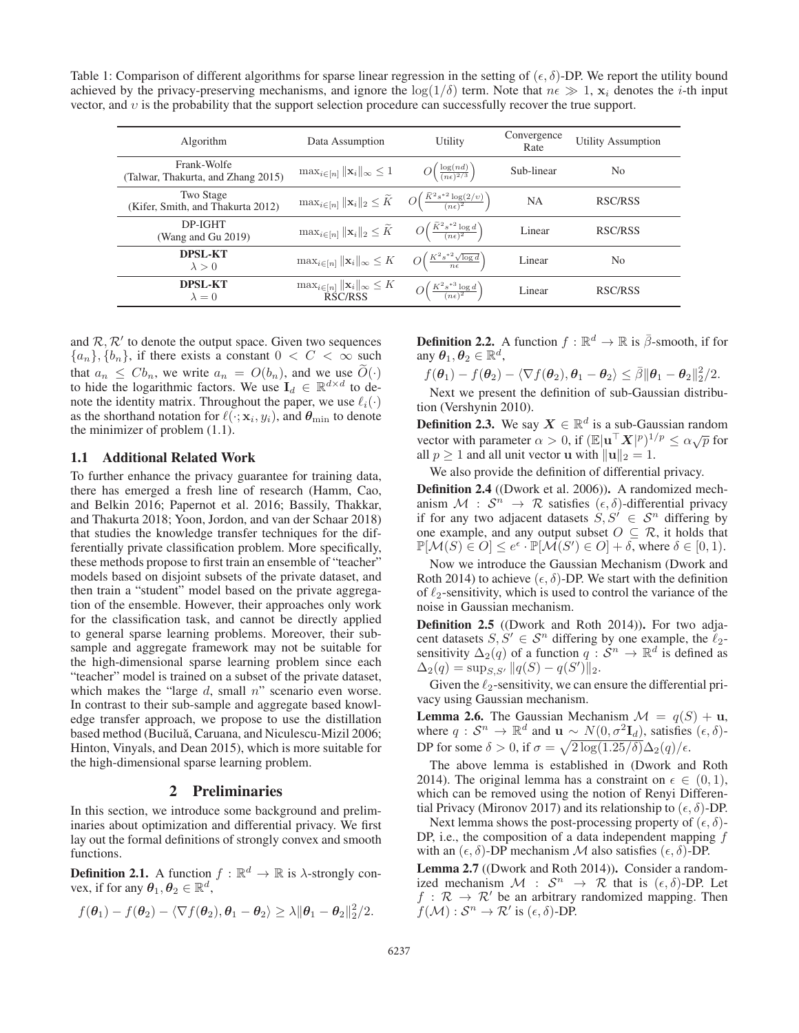Table 1: Comparison of different algorithms for sparse linear regression in the setting of  $(\epsilon, \delta)$ -DP. We report the utility bound achieved by the privacy-preserving mechanisms, and ignore the  $\log(1/\delta)$  term. Note that  $n \epsilon \gg 1$ ,  $\mathbf{x}_i$  denotes the *i*-th input vector, and υ is the probability that the support selection procedure can successfully recover the true support.

| Algorithm                                             | Data Assumption                                                                                                                     | Utility                                                    | Convergence<br>Rate | <b>Utility Assumption</b> |
|-------------------------------------------------------|-------------------------------------------------------------------------------------------------------------------------------------|------------------------------------------------------------|---------------------|---------------------------|
| Frank-Wolfe<br>(Talwar, Thakurta, and Zhang 2015)     | $\max_{i\in[n]}\ \mathbf{x}_i\ _{\infty}\leq 1$                                                                                     | $O\left(\frac{\log(nd)}{(n\epsilon)^{2/3}}\right)$         | Sub-linear          | N <sub>0</sub>            |
| <b>Two Stage</b><br>(Kifer, Smith, and Thakurta 2012) | $\max_{i \in [n]} \ \mathbf{x}_i\ _2 \leq \widetilde{K} \quad O\left(\frac{\widetilde{K}^2 s^{*2} \log(2/v)}{(n\epsilon)^2}\right)$ |                                                            | <b>NA</b>           | RSC/RSS                   |
| DP-IGHT<br>(Wang and Gu 2019)                         | $\max_{i \in [n]}   \mathbf{x}_i  _2 \leq \widetilde{K}$                                                                            | $O\left(\frac{K^2 s^{*2} \log d}{(n\epsilon)^2}\right)$    | Linear              | RSC/RSS                   |
| <b>DPSL-KT</b><br>$\lambda > 0$                       | $\max_{i\in[n]}\ \mathbf{x}_i\ _{\infty}\leq K$                                                                                     | $O\left(\frac{K^2 s^{*2} \sqrt{\log d}}{n\epsilon}\right)$ | Linear              | N <sub>0</sub>            |
| <b>DPSL-KT</b><br>$\lambda = 0$                       | $\max_{i \in [n]}   \mathbf{x}_i  _{\infty} \leq K$<br>RSC/RSS                                                                      | $O\left(\frac{K^2 s^{*3} \log d}{(n\epsilon)^2}\right)$    | Linear              | RSC/RSS                   |
|                                                       |                                                                                                                                     |                                                            |                     |                           |

and  $\mathcal{R}, \mathcal{R}'$  to denote the output space. Given two sequences  ${a_n}, {b_n}$ , if there exists a constant  $0 < C < \infty$  such that  $a_n \leq Cb_n$ , we write  $a_n = O(b_n)$ , and we use  $\widetilde{O}(\cdot)$ to hide the logarithmic factors. We use  $I_d \in \mathbb{R}^{d \times d}$  to denote the identity matrix. Throughout the paper, we use  $\ell_i(\cdot)$  as the shorthand notation for  $\ell(\cdot; \mathbf{x}, u_i)$  and  $\boldsymbol{\theta}_{\text{min}}$  to denote as the shorthand notation for  $\ell(\cdot; \mathbf{x}_i, y_i)$ , and  $\boldsymbol{\theta}_{\min}$  to denote the minimizer of problem (1.1) the minimizer of problem (1.1).

## 1.1 Additional Related Work

To further enhance the privacy guarantee for training data, there has emerged a fresh line of research (Hamm, Cao, and Belkin 2016; Papernot et al. 2016; Bassily, Thakkar, and Thakurta 2018; Yoon, Jordon, and van der Schaar 2018) that studies the knowledge transfer techniques for the differentially private classification problem. More specifically, these methods propose to first train an ensemble of "teacher" models based on disjoint subsets of the private dataset, and then train a "student" model based on the private aggregation of the ensemble. However, their approaches only work for the classification task, and cannot be directly applied to general sparse learning problems. Moreover, their subsample and aggregate framework may not be suitable for the high-dimensional sparse learning problem since each "teacher" model is trained on a subset of the private dataset, which makes the "large  $d$ , small  $n$ " scenario even worse. In contrast to their sub-sample and aggregate based knowledge transfer approach, we propose to use the distillation based method (Buciluǎ, Caruana, and Niculescu-Mizil 2006; Hinton, Vinyals, and Dean 2015), which is more suitable for the high-dimensional sparse learning problem.

#### 2 Preliminaries

In this section, we introduce some background and preliminaries about optimization and differential privacy. We first lay out the formal definitions of strongly convex and smooth functions.

**Definition 2.1.** A function  $f : \mathbb{R}^d \to \mathbb{R}$  is  $\lambda$ -strongly convex, if for any  $\boldsymbol{\theta}_1, \boldsymbol{\theta}_2 \in \mathbb{R}^d$ ,

$$
f(\boldsymbol{\theta}_1)-f(\boldsymbol{\theta}_2)-\langle \nabla f(\boldsymbol{\theta}_2),\boldsymbol{\theta}_1-\boldsymbol{\theta}_2\rangle \geq \lambda \|\boldsymbol{\theta}_1-\boldsymbol{\theta}_2\|_2^2/2.
$$

**Definition 2.2.** A function  $f : \mathbb{R}^d \to \mathbb{R}$  is  $\overline{\beta}$ -smooth, if for any  $\theta_1, \theta_2 \in \mathbb{R}^d$ ,

$$
f(\theta_1) - f(\theta_2) - \langle \nabla f(\theta_2), \theta_1 - \theta_2 \rangle \leq \overline{\beta} ||\theta_1 - \theta_2||_2^2/2
$$
.  
Next we present the definition of sub-Gaussian distribu-

tion (Vershynin 2010).

**Definition 2.3.** We say  $X \in \mathbb{R}^d$  is a sub-Gaussian random vector with parameter  $\alpha > 0$ , if  $(\mathbb{E}|\mathbf{u}^{\top}\mathbf{X}|^p)^{1/p} \leq \alpha\sqrt{p}$  for all  $n > 1$  and all unit vector **u** with  $\|\mathbf{u}\|_{2} = 1$ all  $p \ge 1$  and all unit vector **u** with  $\|\mathbf{u}\|_2 = 1$ .

We also provide the definition of differential privacy.

Definition 2.4 ((Dwork et al. 2006)). A randomized mechanism  $\mathcal{M}$  :  $\mathcal{S}^n \to \mathcal{R}$  satisfies  $(\epsilon, \delta)$ -differential privacy if for any two adjacent datasets  $S, S' \in S^n$  differing by one example, and any output subset  $O \subseteq \mathcal{R}$ , it holds that  $\mathbb{P}[\mathcal{M}(S) \in O] \leq e^{\epsilon} \cdot \mathbb{P}[\mathcal{M}(S') \in O] + \delta$ , where  $\delta \in [0, 1)$ .<br>Now we introduce the Coussian Machanian (Dwark and

Now we introduce the Gaussian Mechanism (Dwork and Roth 2014) to achieve  $(\epsilon, \delta)$ -DP. We start with the definition of  $\ell_2$ -sensitivity, which is used to control the variance of the poise in Gaussian mechanism noise in Gaussian mechanism.

Definition 2.5 ((Dwork and Roth 2014)). For two adjacent datasets  $S, S' \in S^n$  differing by one example, the  $\ell_2$ -<br>sensitivity  $\Delta_{\varepsilon}(q)$  of a function  $q: S^n \to \mathbb{R}^d$  is defined as sensitivity  $\Delta_2(q)$  of a function  $q : \mathcal{S}^n \to \mathbb{R}^d$  is defined as  $\Delta_2(q) = \sup_{S, S'} ||q(S) - q(S')||_2.$ 

Given the  $\ell_2$ -sensitivity, we can ensure the differential pri-<br>cy using Gaussian mechanism vacy using Gaussian mechanism.

**Lemma 2.6.** The Gaussian Mechanism  $\mathcal{M} = q(S) + \mathbf{u}$ , where  $q : \mathcal{S}^n \to \mathbb{R}^d$  and  $\mathbf{u} \sim N(0, \sigma^2 \mathbf{I}_d)$ , satisfies  $(\epsilon, \delta)$ -DP for some  $\delta > 0$ , if  $\sigma = \sqrt{2 \log(1.25/\delta)} \Delta_2(q)/\epsilon$ .

The above lemma is established in (Dwork and Roth 2014). The original lemma has a constraint on  $\epsilon \in (0,1)$ , which can be removed using the notion of Renyi Differential Privacy (Mironov 2017) and its relationship to  $(\epsilon, \delta)$ -DP.

Next lemma shows the post-processing property of  $(\epsilon, \delta)$ -DP, i.e., the composition of a data independent mapping  $f$ with an  $(\epsilon, \delta)$ -DP mechanism M also satisfies  $(\epsilon, \delta)$ -DP.

Lemma 2.7 ((Dwork and Roth 2014)). Consider a randomized mechanism  $\mathcal{M}$  :  $\mathcal{S}^n \to \mathcal{R}$  that is  $(\epsilon, \delta)$ -DP. Let  $f : \mathcal{R} \to \mathcal{R}'$  be an arbitrary randomized mapping. Then  $f(\mathcal{M}) : \mathcal{S}^n \to \mathcal{R}'$  is  $(\epsilon, \delta)$ -DP.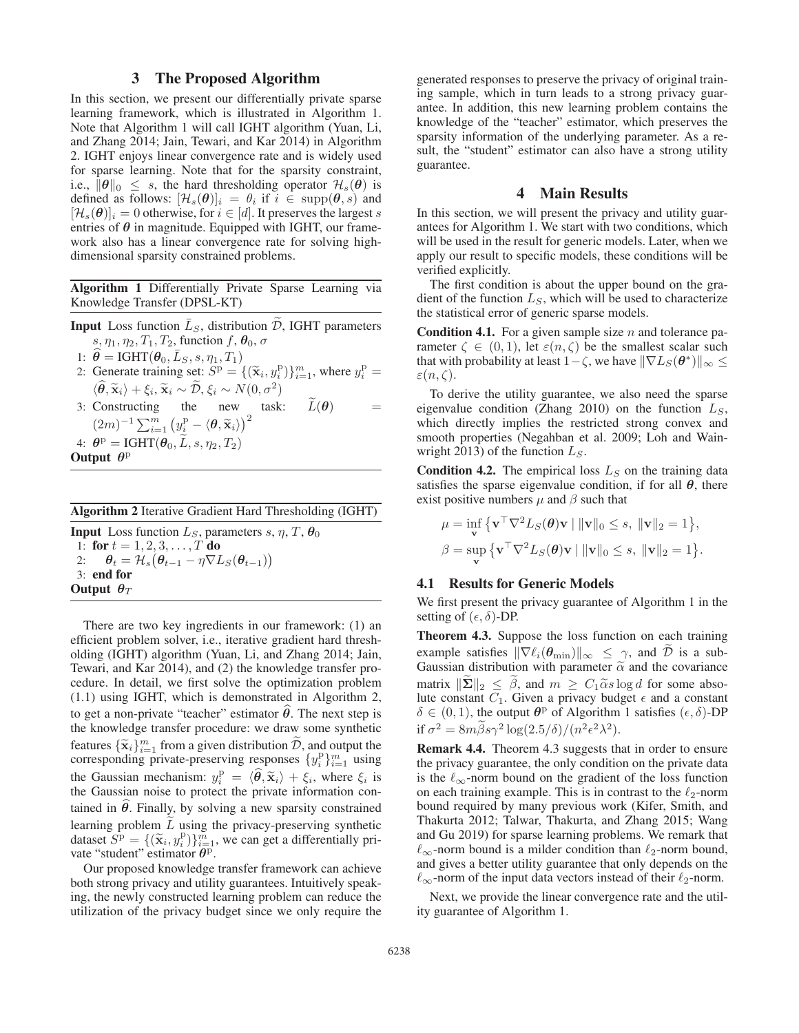# 3 The Proposed Algorithm

In this section, we present our differentially private sparse learning framework, which is illustrated in Algorithm 1. Note that Algorithm 1 will call IGHT algorithm (Yuan, Li, and Zhang 2014; Jain, Tewari, and Kar 2014) in Algorithm 2. IGHT enjoys linear convergence rate and is widely used for sparse learning. Note that for the sparsity constraint, i.e.,  $\|\theta\|_0 \leq s$ , the hard thresholding operator  $\mathcal{H}_s(\theta)$  is defined as follows:  $[\mathcal{H}_s(\theta)]_i = \theta_i$  if  $i \in \text{supp}(\theta, s)$  and  $[\mathcal{H}_s(\boldsymbol{\theta})]_i = 0$  otherwise, for  $i \in [d]$ . It preserves the largest s entries of  $\theta$  in magnitude. Equipped with IGHT, our framework also has a linear convergence rate for solving highdimensional sparsity constrained problems.

Algorithm 1 Differentially Private Sparse Learning via Knowledge Transfer (DPSL-KT)

**Input** Loss function  $\bar{L}_S$ , distribution D, IGHT parameters s,  $\eta_1$ ,  $\eta_2$ ,  $T_1$ ,  $T_2$ , function  $f$ ,  $\theta_0$ ,  $\sigma$ 

1:  $\hat{\theta} = \text{IGHT}(\theta_0, \bar{L}_S, s, \eta_1, T_1)$ 

- 2: Generate training set:  $S^{\text{p}} = \{(\widetilde{\mathbf{x}}_i, y_i^{\text{p}})\}_{i=1}^m$ , where  $y_i^{\text{p}} =$  $\langle \widehat{\theta}, \widetilde{\mathbf{x}}_i \rangle + \xi_i, \widetilde{\mathbf{x}}_i \sim \widetilde{\mathcal{D}}, \xi_i \sim N(0, \sigma^2)$  $\widehat{\boldsymbol{\theta}}, \widetilde{\mathbf{x}}_i \rangle + \xi_i, \widetilde{\mathbf{x}}_i \sim \widetilde{\mathcal{D}}, \xi_i \sim N(0, \sigma^2)$ <br>
Constructing the new test
- 3: Constructing the new task:  $\widetilde{L}(\theta)$  =  $(2m)^{-1} \sum_{i=1}^{m} (y_i^{\mathrm{p}} - \langle \boldsymbol{\theta}, \widetilde{\mathbf{x}}_i \rangle)^2$ 4:  $\theta^{\text{p}} = \text{IGHT}(\theta_0, \tilde{L}, s, \eta_2, T_2)$
- Output *θ*<sup>p</sup>

| Algorithm 2 Iterative Gradient Hard Thresholding (IGHT) |  |  |  |  |  |  |  |
|---------------------------------------------------------|--|--|--|--|--|--|--|
|---------------------------------------------------------|--|--|--|--|--|--|--|

**Input** Loss function  $L_S$ , parameters s,  $\eta$ , T,  $\theta_0$ 1: for  $t = 1, 2, 3, \ldots, T$  do<br>2:  $\theta_t = \mathcal{H}_s(\theta_{t-1} - \eta \nabla L)$ 2:  $\theta_t = \mathcal{H}_s(\theta_{t-1} - \eta \nabla L_S(\theta_{t-1}))$ <br>3: end for 3: end for Output  $\theta_T$ 

There are two key ingredients in our framework: (1) an efficient problem solver, i.e., iterative gradient hard thresholding (IGHT) algorithm (Yuan, Li, and Zhang 2014; Jain, Tewari, and Kar 2014), and (2) the knowledge transfer procedure. In detail, we first solve the optimization problem (1.1) using IGHT, which is demonstrated in Algorithm 2, to get a non-private "teacher" estimator  $\theta$ . The next step is the knowledge transfer procedure: we draw some synthetic features  $\{\tilde{\mathbf{x}}_i\}_{i=1}^m$  from a given distribution  $\tilde{D}$ , and output the corresponding private-preserving responses  $\{u^p\}_{m}^m$ , using corresponding private-preserving responses  $\{y_i^p\}_{i=1}^m$  using the Gaussian mechanism:  $y_i^{\mathrm{p}} = \langle \hat{\theta}, \tilde{\mathbf{x}}_i \rangle + \xi_i$ , where  $\xi_i$  is the Gaussian noise to protect the private information contained in  $\theta$ . Finally, by solving a new sparsity constrained learning problem  $\overline{L}$  using the privacy-preserving synthetic dataset  $S^{\text{p}} = \{(\tilde{\mathbf{x}}_i, y_i^{\text{p}})\}_{i=1}^{\tilde{m}}$ , we can get a differentially private "student" estimator  $\theta^{\text{p}}$ vate "student" estimator *θ*p.

Our proposed knowledge transfer framework can achieve both strong privacy and utility guarantees. Intuitively speaking, the newly constructed learning problem can reduce the utilization of the privacy budget since we only require the

generated responses to preserve the privacy of original training sample, which in turn leads to a strong privacy guarantee. In addition, this new learning problem contains the knowledge of the "teacher" estimator, which preserves the sparsity information of the underlying parameter. As a result, the "student" estimator can also have a strong utility guarantee.

# 4 Main Results

In this section, we will present the privacy and utility guarantees for Algorithm 1. We start with two conditions, which will be used in the result for generic models. Later, when we apply our result to specific models, these conditions will be verified explicitly.

The first condition is about the upper bound on the gradient of the function  $L<sub>S</sub>$ , which will be used to characterize the statistical error of generic sparse models.

**Condition 4.1.** For a given sample size n and tolerance parameter  $\zeta \in (0,1)$ , let  $\varepsilon(n,\zeta)$  be the smallest scalar such that with probability at least  $1-\zeta$ , we have  $\|\nabla L_S(\theta^*)\|_{\infty} \leq$  $\varepsilon(n,\zeta)$ .

To derive the utility guarantee, we also need the sparse eigenvalue condition (Zhang 2010) on the function  $L<sub>S</sub>$ , which directly implies the restricted strong convex and smooth properties (Negahban et al. 2009; Loh and Wainwright 2013) of the function  $L_S$ .

**Condition 4.2.** The empirical loss  $L<sub>S</sub>$  on the training data satisfies the sparse eigenvalue condition, if for all  $\theta$ , there exist positive numbers  $\mu$  and  $\beta$  such that

$$
\mu = \inf_{\mathbf{v}} \left\{ \mathbf{v}^\top \nabla^2 L_S(\boldsymbol{\theta}) \mathbf{v} \mid ||\mathbf{v}||_0 \le s, ||\mathbf{v}||_2 = 1 \right\},
$$
  

$$
\beta = \sup_{\mathbf{v}} \left\{ \mathbf{v}^\top \nabla^2 L_S(\boldsymbol{\theta}) \mathbf{v} \mid ||\mathbf{v}||_0 \le s, ||\mathbf{v}||_2 = 1 \right\}.
$$

#### 4.1 Results for Generic Models

We first present the privacy guarantee of Algorithm 1 in the setting of  $(\epsilon, \delta)$ -DP.

Theorem 4.3. Suppose the loss function on each training example satisfies  $\|\nabla \ell_i(\theta_{\min})\|_{\infty} \leq \gamma$ , and  $\tilde{\mathcal{D}}$  is a sub-<br>Gaussian distribution with parameter  $\tilde{\alpha}$  and the covariance matrix  $\|\tilde{\Sigma}\|_2 \leq \tilde{\beta}$ , and  $m \geq C_1 \tilde{\alpha} s \log d$  for some absolute constant  $C_1$ . Given a privacy budget  $\epsilon$  and a constant  $\delta \in (0, 1)$ , the output  $\theta^{\text{p}}$  of Algorithm 1 satisfies  $(\epsilon, \delta)$ -DP if  $\sigma^2 = 8m\tilde{\beta}s\gamma^2 \log(2.5/\delta)/(n^2\epsilon^2\lambda^2)$ .

Remark 4.4. Theorem 4.3 suggests that in order to ensure the privacy guarantee, the only condition on the private data is the  $\ell_{\infty}$ -norm bound on the gradient of the loss function on each training example. This is in contrast to the  $\ell_2$ -norm<br>bound required by many previous work (Kifer Smith, and bound required by many previous work (Kifer, Smith, and Thakurta 2012; Talwar, Thakurta, and Zhang 2015; Wang and Gu 2019) for sparse learning problems. We remark that  $\ell_{\infty}$ -norm bound is a milder condition than  $\ell_{2}$ -norm bound, and gives a better utility guarantee that only depends on the  $\ell_{\infty}$ -norm of the input data vectors instead of their  $\ell_2$ -norm.

Next, we provide the linear convergence rate and the utility guarantee of Algorithm 1.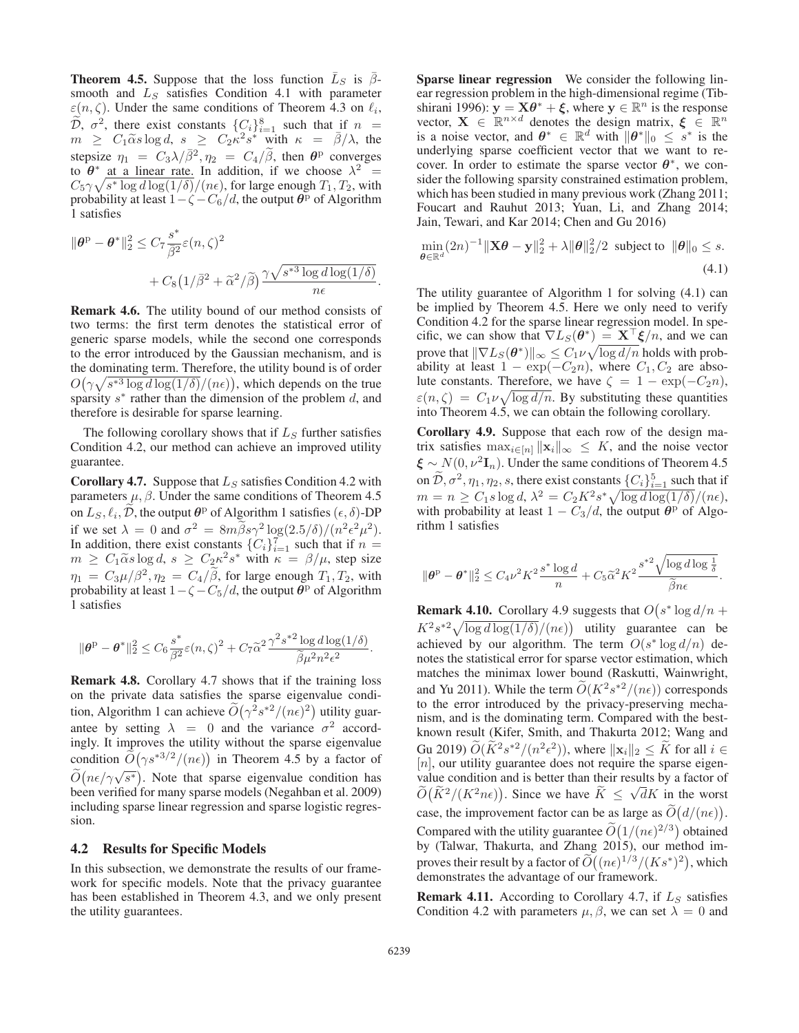**Theorem 4.5.** Suppose that the loss function  $\overline{L}_S$  is  $\overline{\beta}$ smooth and  $L<sub>S</sub>$  satisfies Condition 4.1 with parameter  $\varepsilon(n, \zeta)$ . Under the same conditions of Theorem 4.3 on  $\ell_i$ ,  $\widetilde{\mathcal{D}}$ ,  $\sigma^2$ , there exist constants  $\{C_i\}_{i=1}^8$  such that if  $n = m$  >  $C_1 \widetilde{\alpha} s \log d$  s >  $C_2 \kappa^2 s^*$  with  $\kappa = \overline{\beta}/\lambda$  the  $m \geq C_1 \widetilde{\alpha} s \log d, s \geq C_2 \widetilde{\kappa}^2 s^* \widetilde{\text{ with }} \kappa = \overline{\beta}/\lambda, \text{ the }$ stepsize  $\eta_1 = C_3 \lambda / \bar{\beta}^2$ ,  $\eta_2 = C_4 / \bar{\beta}$ , then  $\theta^{\rm p}$  converges to  $\theta^*$  at a linear rate. In addition, if we choose  $\lambda^2$  =  $C_5\gamma\sqrt{s^* \log d \log(1/\delta)}/(n\epsilon)$ , for large enough  $T_1, T_2$ , with<br>probability at least  $1 - \zeta - C_6/d$  the output  $\theta^p$  of Algorithm probability at least  $1 - \zeta - \frac{C_6}{d}$ , the output  $\theta^{\rm p}$  of Algorithm 1 satisfies

$$
\|\theta^{\mathrm{p}} - \theta^*\|_2^2 \leq C_7 \frac{s^*}{\bar{\beta}^2} \varepsilon(n,\zeta)^2 + C_8 \left(1/\bar{\beta}^2 + \tilde{\alpha}^2/\tilde{\beta}\right) \frac{\gamma \sqrt{s^{*3} \log d \log(1/\delta)}}{n\epsilon}.
$$

Remark 4.6. The utility bound of our method consists of two terms: the first term denotes the statistical error of generic sparse models, while the second one corresponds to the error introduced by the Gaussian mechanism, and is the dominating term. Therefore, the utility bound is of order  $O(\gamma \sqrt{s^{*3} \log d \log(1/\delta)}/(n\epsilon))$ , which depends on the true<br>sparsity  $s^*$  rather than the dimension of the problem d and sparsity  $s^*$  rather than the dimension of the problem d, and therefore is desirable for sparse learning.

The following corollary shows that if  $L<sub>S</sub>$  further satisfies Condition 4.2, our method can achieve an improved utility guarantee.

**Corollary 4.7.** Suppose that  $L<sub>S</sub>$  satisfies Condition 4.2 with parameters  $\mu$ ,  $\beta$ . Under the same conditions of Theorem 4.5 on  $L_S, \ell_i, \widetilde{D}$ , the output  $\theta^p$  of Algorithm 1 satisfies  $(\epsilon, \delta)$ -DP<br>if we set  $\lambda = 0$  and  $\tau^2 = 8m \widetilde{\beta} so^2 \log(2.5/\delta)/(m^2 \epsilon^2 u^2)$ if we set  $\lambda = 0$  and  $\sigma^2 = 8m\tilde{\beta}s\gamma^2 \log(2.5/\delta)/(n^2\epsilon^2\mu^2)$ . In addition, there exist constants  $\{C_i\}_{i=1}^{\infty}$  such that if  $n = m > C_1 \tilde{\alpha} s \log d$ ,  $s > C_2 \kappa^2 s^*$  with  $\kappa = \beta / \mu$ , step size  $m \geq C_1 \tilde{\alpha} s \log d$ ,  $s \geq C_2 \kappa^2 s^*$  with  $\kappa = \beta/\mu$ , step size  $\eta_1 = C_3 \mu / \beta^2$ ,  $\eta_2 = C_4 / \widetilde{\beta}$ , for large enough  $T_1, T_2$ , with probability at least  $1 - \zeta - C_5 / d$ , the output  $\theta^p$  of Algorithm probability at least  $1-\zeta - \frac{C_5}{d}$ , the output  $\theta^{\text{p}}$  of Algorithm 1 satisfies

$$
\|\theta^{\mathrm{p}}-\theta^*\|_2^2 \leq C_6 \frac{s^*}{\beta^2} \varepsilon(n,\zeta)^2 + C_7 \widetilde{\alpha}^2 \frac{\gamma^2 s^{*2} \log d \log(1/\delta)}{\widetilde{\beta}\mu^2 n^2 \epsilon^2}.
$$

Remark 4.8. Corollary 4.7 shows that if the training loss on the private data satisfies the sparse eigenvalue condition, Algorithm 1 can achieve  $\widetilde{O}(\gamma^2 s^{*2}/(n\epsilon)^2)$  utility guarantee by setting  $\lambda = 0$  and the variance  $\sigma^2$  accordingly. It improves the utility without the sparse eigenvalue condition  $\tilde{\mathcal{O}}(\gamma s^{*3/2}/(n\epsilon))$  in Theorem 4.5 by a factor of  $\tilde{O}(n\epsilon/\gamma\sqrt{s^*})$ . Note that sparse eigenvalue condition has been verified for many sparse models (Negahban et al. 2009) including sparse linear regression and sparse logistic regression.

#### 4.2 Results for Specific Models

In this subsection, we demonstrate the results of our framework for specific models. Note that the privacy guarantee has been established in Theorem 4.3, and we only present the utility guarantees.

Sparse linear regression We consider the following linear regression problem in the high-dimensional regime (Tibshirani 1996):  $\mathbf{y} = \mathbf{X}\boldsymbol{\theta}^* + \boldsymbol{\xi}$ , where  $\mathbf{y} \in \mathbb{R}^n$  is the response vector,  $\mathbf{X} \in \mathbb{R}^{n \times d}$  denotes the design matrix,  $\xi \in \mathbb{R}^n$ is a noise vector, and  $\theta^* \in \mathbb{R}^d$  with  $\|\theta^*\|_0 \leq s^*$  is the underlying sparse coefficient vector that we want to recover. In order to estimate the sparse vector  $\theta^*$ , we consider the following sparsity constrained estimation problem, which has been studied in many previous work (Zhang 2011; Foucart and Rauhut 2013; Yuan, Li, and Zhang 2014; Jain, Tewari, and Kar 2014; Chen and Gu 2016)

$$
\min_{\boldsymbol{\theta} \in \mathbb{R}^d} (2n)^{-1} \|\mathbf{X}\boldsymbol{\theta} - \mathbf{y}\|_2^2 + \lambda \|\boldsymbol{\theta}\|_2^2/2 \text{ subject to } \|\boldsymbol{\theta}\|_0 \leq s.
$$
\n(4.1)

The utility guarantee of Algorithm 1 for solving (4.1) can be implied by Theorem 4.5. Here we only need to verify Condition 4.2 for the sparse linear regression model. In specific, we can show that  $\nabla L_S(\theta^*) = \mathbf{X}^\top \boldsymbol{\xi}/n$ , and we can prove that  $\|\nabla L_S(\theta^*)\|_{\infty} \leq C_1 \nu \sqrt{\log d/n}$  holds with prob-<br>ability at least  $1 - \exp(-C_2 n)$  where  $C_1$   $C_2$  are absoability at least  $1 - \exp(-C_2n)$ , where  $C_1, C_2$  are absolute constants. Therefore, we have  $\zeta = 1 - \exp(-C_2 n)$ ,  $\varepsilon(n,\zeta) = C_1 \nu \sqrt{\log d/n}$ . By substituting these quantities into Theorem 4.5 we can obtain the following corollary into Theorem 4.5, we can obtain the following corollary.

Corollary 4.9. Suppose that each row of the design matrix satisfies  $\max_{i \in [n]} ||\mathbf{x}_i||_{\infty} \leq K$ , and the noise vector  $\xi \sim N(0, \nu^2 \mathbf{I}_n)$ . Under the same conditions of Theorem 4.5 on  $\tilde{D}$ ,  $\sigma^2$ ,  $\eta_1$ ,  $\eta_2$ ,  $s$ , there exist constants  $\{C_i\}_{i=1}^5$  such that if  $m = n \geq C_1 s \log d$ ,  $\lambda^2 = C_2 K^2 s^* \sqrt{\log d \log(1/\delta)}/(n\epsilon)$ ,<br>with probability at least  $1 - C_2/d$  the output  $\theta^{\rm p}$  of Algowith probability at least  $1 - C_3/d$ , the output  $\theta^{\rm p}$  of Algorithm 1 satisfies

$$
\|\theta^{\mathrm{p}}-\theta^*\|_2^2 \leq C_4 \nu^2 K^2 \frac{s^* \log d}{n} + C_5 \tilde{\alpha}^2 K^2 \frac{s^{*2} \sqrt{\log d \log \frac{1}{\delta}}}{\tilde{\beta} n \epsilon}.
$$

**Remark 4.10.** Corollary 4.9 suggests that  $O(s^* \log d/n +$  $K^2 s^{*2} \sqrt{\log d \log(1/\delta)}/(n\epsilon)$  utility guarantee can be achieved by our algorithm. The term  $O(s^* \log d/n)$  deachieved by our algorithm. The term  $O(s^* \log d/n)$  denotes the statistical error for sparse vector estimation, which matches the minimax lower bound (Raskutti, Wainwright, and Yu 2011). While the term  $\widetilde{O}(K^2s^{*2}/(n\epsilon))$  corresponds to the error introduced by the privacy-preserving mechanism, and is the dominating term. Compared with the bestknown result (Kifer, Smith, and Thakurta 2012; Wang and Gu 2019)  $\widetilde{O}(\widetilde{K}^2 s^{*2}/(n^2 \epsilon^2))$ , where  $\|\mathbf{x}_i\|_2 \leq \widetilde{K}$  for all  $i \in$  $[n]$ , our utility guarantee does not require the sparse eigenvalue condition and is better than their results by a factor of value condition and is better than then results by a ractor of  $\widetilde{O}(\widetilde{K}^2/(K^2 n \epsilon))$ . Since we have  $\widetilde{K} \le \sqrt{d}K$  in the worst case, the improvement factor can be as large as  $\tilde{O}(d/(\pi\epsilon))$ . Compared with the utility guarantee  $\widetilde{O}(1/(n\epsilon)^{2/3})$  obtained<br>by (Talwar, Thakurta, and Zhang 2015), our method imby (Talwar, Thakurta, and Zhang 2015), our method improves their result by a factor of  $\widetilde{O}((n\epsilon)^{1/3}/(Ks^*)^2)$ , which<br>demonstrates the advantage of our framework demonstrates the advantage of our framework.

**Remark 4.11.** According to Corollary 4.7, if  $L_S$  satisfies Condition 4.2 with parameters  $\mu$ ,  $\beta$ , we can set  $\lambda = 0$  and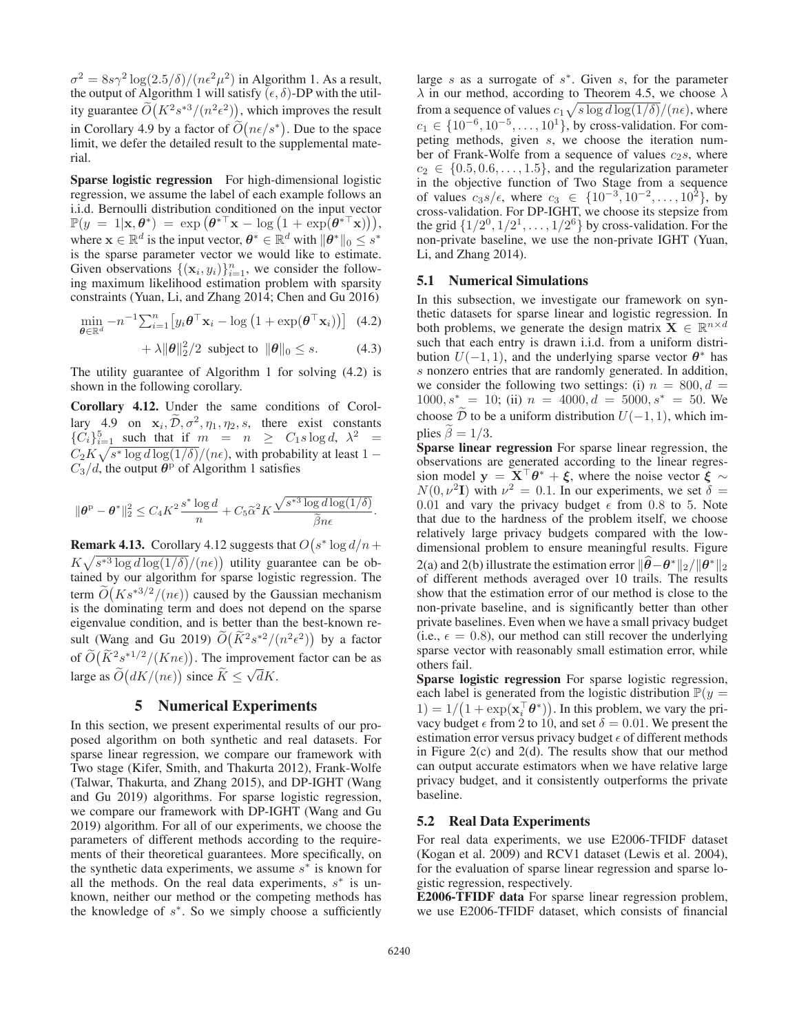$\sigma^2 = 8s\gamma^2 \log(2.5/\delta)/(n\epsilon^2\mu^2)$  in Algorithm 1. As a result, the output of Algorithm 1 will satisfy  $(\epsilon, \delta)$ -DP with the utility guarantee  $\widetilde{O}(K^2 s^{*3}/(n^2 \epsilon^2))$ , which improves the result in Corollary 4.9 by a factor of  $\widetilde{O}(n\epsilon/s^*)$ . Due to the space limit, we defer the detailed result to the supplemental material.

Sparse logistic regression For high-dimensional logistic regression, we assume the label of each example follows an i.i.d. Bernoulli distribution conditioned on the input vector  $\mathbb{P}(y = 1 | \mathbf{x}, \theta^*) = \exp(\theta^{*\top} \mathbf{x} - \log(1 + \exp(\theta^* \mathbf{x}))),$ <br>where  $\mathbf{x} \in \mathbb{R}^d$  is the input vector  $\theta^* \in \mathbb{R}^d$  with  $\|\theta^*\| < e^{*\top}$ where  $\mathbf{x} \in \mathbb{R}^d$  is the input vector,  $\boldsymbol{\theta}^* \in \mathbb{R}^d$  with  $\|\boldsymbol{\theta}^*\|_0 \leq s^*$ is the sparse parameter vector we would like to estimate. Given observations  $\{(x_i, y_i)\}_{i=1}^n$ , we consider the follow-<br>ing maximum likelihood estimation problem with sparsity ing maximum likelihood estimation problem with sparsity constraints (Yuan, Li, and Zhang 2014; Chen and Gu 2016)

$$
\min_{\boldsymbol{\theta} \in \mathbb{R}^d} -n^{-1} \sum_{i=1}^n \left[ y_i \boldsymbol{\theta}^\top \mathbf{x}_i - \log \left( 1 + \exp(\boldsymbol{\theta}^\top \mathbf{x}_i) \right) \right] \tag{4.2}
$$

$$
+ \lambda \|\boldsymbol{\theta}\|_2^2/2 \text{ subject to } \|\boldsymbol{\theta}\|_0 \leq s. \tag{4.3}
$$

The utility guarantee of Algorithm 1 for solving (4.2) is shown in the following corollary.

Corollary 4.12. Under the same conditions of Corollary 4.9 on  $\mathbf{x}_i$ ,  $\widetilde{\mathcal{D}}, \sigma^2$ ,  $\eta_1$ ,  $\eta_2$ , *s*, there exist constants  $\{C_i\}_{i=1}^5$  such that if  $m = n \ge C_1 s \log d$ ,  $\lambda^2 =$ <br> $C_1 K$ ,  $\sqrt{e^* \log d \log(1/\delta)}$ ,  $\sqrt{(ac)}$ , with probability at least 1  $C_2K\sqrt{s^* \log d \log(1/\delta)}/(n\epsilon)$ , with probability at least 1 −  $C_2/d$  the output  $\theta^{\text{p}}$  of Algorithm 1 satisfies  $\overline{C_3}/d$ , the output  $\theta^{\overline{p}}$  of Algorithm 1 satisfies

$$
\|\boldsymbol{\theta}^{\mathrm{p}}-\boldsymbol{\theta}^*\|_2^2 \leq C_4 K^2 \frac{s^* \log d}{n} + C_5 \widetilde{\alpha}^2 K \frac{\sqrt{s^{*3} \log d \log(1/\delta)}}{\widetilde{\beta} n \epsilon}.
$$

**Remark 4.13.** Corollary 4.12 suggests that  $O(s^* \log d/n +$  $K\sqrt{s^{*3}\log d\log(1/\delta)}/(n\epsilon)$  utility guarantee can be obtained by our algorithm for sparse logistic regression. The tained by our algorithm for sparse logistic regression. The term  $\tilde{O}(Ks^{*3/2}/(n\epsilon))$  caused by the Gaussian mechanism<br>is the dominating term and does not depend on the sparse is the dominating term and does not depend on the sparse eigenvalue condition, and is better than the best-known result (Wang and Gu 2019)  $\widetilde{O}(\widetilde{K}^2 s^{*2}/(n^2\epsilon^2))$  by a factor of  $\widetilde{O}(\widetilde{K}^2 s^{*1/2}/(Kn\epsilon))$ . The improvement factor can be as large as  $\widetilde{O}(dK/(n\epsilon))$  since  $\widetilde{K} \le \sqrt{d}K$ .

# 5 Numerical Experiments

In this section, we present experimental results of our proposed algorithm on both synthetic and real datasets. For sparse linear regression, we compare our framework with Two stage (Kifer, Smith, and Thakurta 2012), Frank-Wolfe (Talwar, Thakurta, and Zhang 2015), and DP-IGHT (Wang and Gu 2019) algorithms. For sparse logistic regression, we compare our framework with DP-IGHT (Wang and Gu 2019) algorithm. For all of our experiments, we choose the parameters of different methods according to the requirements of their theoretical guarantees. More specifically, on the synthetic data experiments, we assume  $s<sup>*</sup>$  is known for all the methods. On the real data experiments,  $s^*$  is unknown, neither our method or the competing methods has the knowledge of  $s^*$ . So we simply choose a sufficiently

large s as a surrogate of  $s^*$ . Given s, for the parameter  $\lambda$  in our method, according to Theorem 4.5, we choose  $\lambda$ from a sequence of values  $c_1 \sqrt{s \log d \log(1/\delta)}/(n\epsilon)$ , where  $c_1 \in \{10^{-6}, 10^{-5}, \ldots, 10^1\}$ , by cross-validation. For com-<br>pering methods, given s we choose the iteration numpeting methods, given s, we choose the iteration number of Frank-Wolfe from a sequence of values  $c_2$ s, where  $c_2 \in \{0.5, 0.6, \ldots, 1.5\}$ , and the regularization parameter<br>in the objective function of Two Stage from a sequence in the objective function of Two Stage from a sequence of values  $c_3s/\epsilon$ , where  $c_3 \in \{10^{-3}, 10^{-2}, \ldots, 10^2\}$ , by cross-validation. For DP-IGHT, we choose its stepsize from the grid  $\{1/2^0, 1/2^1, \ldots, 1/2^6\}$  by cross-validation. For the non-private baseline, we use the non-private IGHT (Yuan, Li, and Zhang 2014).

#### 5.1 Numerical Simulations

In this subsection, we investigate our framework on synthetic datasets for sparse linear and logistic regression. In both problems, we generate the design matrix **X**  $\in \mathbb{R}^{n \times d}$ such that each entry is drawn i.i.d. from a uniform distribution  $U(-1, 1)$ , and the underlying sparse vector  $\theta^*$  has s nonzero entries that are randomly generated. In addition, we consider the following two settings: (i)  $n = 800, d =$  $1000, s^* = 10$ ; (ii)  $n = 4000, d = 5000, s^* = 50$ . We choose  $\tilde{\mathcal{D}}$  to be a uniform distribution  $U(-1, 1)$ , which implies  $\tilde{\beta} = 1/3$ .

Sparse linear regression For sparse linear regression, the observations are generated according to the linear regression model  $\mathbf{y} = \mathbf{X}^\top \theta^* + \xi$ , where the noise vector  $\xi \sim$  $N(0, \nu^2 I)$  with  $\nu^2 = 0.1$ . In our experiments, we set  $\delta =$ 0.01 and vary the privacy budget  $\epsilon$  from 0.8 to 5. Note that due to the hardness of the problem itself, we choose relatively large privacy budgets compared with the lowdimensional problem to ensure meaningful results. Figure 2(a) and 2(b) illustrate the estimation error  $\|\theta - \theta^*\|_2 / \|\theta^*\|_2$ of different methods averaged over 10 trails. The results show that the estimation error of our method is close to the non-private baseline, and is significantly better than other private baselines. Even when we have a small privacy budget (i.e.,  $\epsilon = 0.8$ ), our method can still recover the underlying sparse vector with reasonably small estimation error, while others fail.

Sparse logistic regression For sparse logistic regression, each label is generated from the logistic distribution  $\mathbb{P}(y =$ 1) =  $1/(1 + \exp(x_i^T \theta^*))$ . In this problem, we vary the pri-<br>vacy budget  $\epsilon$  from 2 to 10 and set  $\delta = 0.01$ . We present the vacy budget  $\epsilon$  from 2 to 10, and set  $\delta = 0.01$ . We present the estimation error versus privacy budget  $\epsilon$  of different methods in Figure 2(c) and 2(d). The results show that our method can output accurate estimators when we have relative large privacy budget, and it consistently outperforms the private baseline.

## 5.2 Real Data Experiments

For real data experiments, we use E2006-TFIDF dataset (Kogan et al. 2009) and RCV1 dataset (Lewis et al. 2004), for the evaluation of sparse linear regression and sparse logistic regression, respectively.

E2006-TFIDF data For sparse linear regression problem, we use E2006-TFIDF dataset, which consists of financial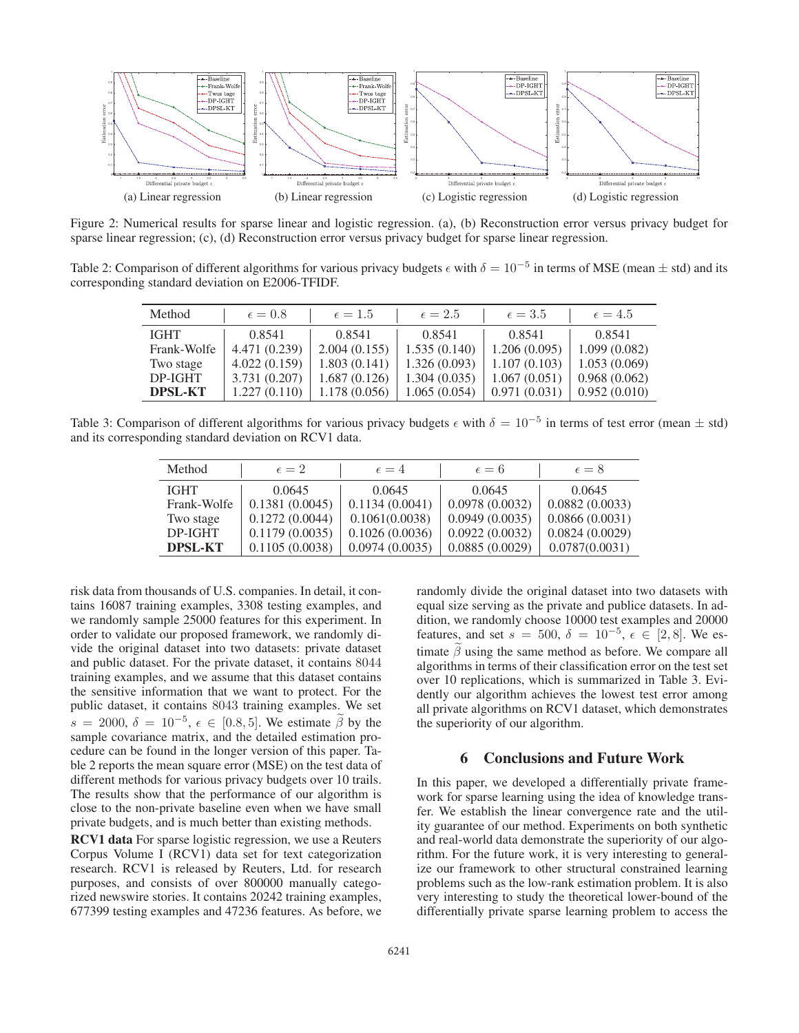

Figure 2: Numerical results for sparse linear and logistic regression. (a), (b) Reconstruction error versus privacy budget for sparse linear regression; (c), (d) Reconstruction error versus privacy budget for sparse linear regression.

Table 2: Comparison of different algorithms for various privacy budgets  $\epsilon$  with  $\delta = 10^{-5}$  in terms of MSE (mean  $\pm$  std) and its corresponding standard deviation on E2006-TFIDF.

| Method         | $\epsilon = 0.8$ | $\epsilon = 1.5$ | $\epsilon = 2.5$ | $\epsilon = 3.5$ | $\epsilon = 4.5$ |
|----------------|------------------|------------------|------------------|------------------|------------------|
| <b>IGHT</b>    | 0.8541           | 0.8541           | 0.8541           | 0.8541           | 0.8541           |
| Frank-Wolfe    | 4.471 (0.239)    | 2.004(0.155)     | 1.535(0.140)     | 1.206(0.095)     | 1.099(0.082)     |
| Two stage      | 4.022(0.159)     | 1.803(0.141)     | 1.326(0.093)     | 1.107(0.103)     | 1.053(0.069)     |
| DP-IGHT        | 3.731 (0.207)    | 1.687(0.126)     | 1.304(0.035)     | 1.067(0.051)     | 0.968(0.062)     |
| <b>DPSL-KT</b> | 1.227(0.110)     | 1.178 (0.056)    | 1.065(0.054)     | 0.971(0.031)     | 0.952(0.010)     |

Table 3: Comparison of different algorithms for various privacy budgets  $\epsilon$  with  $\delta = 10^{-5}$  in terms of test error (mean  $\pm$  std) and its corresponding standard deviation on RCV1 data.

| Method         | $\epsilon=2$   | $\epsilon = 4$ | $\epsilon = 6$ | $\epsilon = 8$ |
|----------------|----------------|----------------|----------------|----------------|
| <b>IGHT</b>    | 0.0645         | 0.0645         | 0.0645         | 0.0645         |
| Frank-Wolfe    | 0.1381(0.0045) | 0.1134(0.0041) | 0.0978(0.0032) | 0.0882(0.0033) |
| Two stage      | 0.1272(0.0044) | 0.1061(0.0038) | 0.0949(0.0035) | 0.0866(0.0031) |
| DP-IGHT        | 0.1179(0.0035) | 0.1026(0.0036) | 0.0922(0.0032) | 0.0824(0.0029) |
| <b>DPSL-KT</b> | 0.1105(0.0038) | 0.0974(0.0035) | 0.0885(0.0029) | 0.0787(0.0031) |

risk data from thousands of U.S. companies. In detail, it contains 16087 training examples, 3308 testing examples, and we randomly sample 25000 features for this experiment. In order to validate our proposed framework, we randomly divide the original dataset into two datasets: private dataset and public dataset. For the private dataset, it contains 8044 training examples, and we assume that this dataset contains the sensitive information that we want to protect. For the public dataset, it contains 8043 training examples. We set  $s = 2000, \delta = 10^{-5}, \epsilon \in [0.8, 5]$ . We estimate  $\tilde{\beta}$  by the sample covariance matrix, and the detailed estimation procedure can be found in the longer version of this paper. Table 2 reports the mean square error (MSE) on the test data of different methods for various privacy budgets over 10 trails. The results show that the performance of our algorithm is close to the non-private baseline even when we have small private budgets, and is much better than existing methods.

RCV1 data For sparse logistic regression, we use a Reuters Corpus Volume I (RCV1) data set for text categorization research. RCV1 is released by Reuters, Ltd. for research purposes, and consists of over 800000 manually categorized newswire stories. It contains 20242 training examples, 677399 testing examples and 47236 features. As before, we randomly divide the original dataset into two datasets with equal size serving as the private and publice datasets. In addition, we randomly choose 10000 test examples and 20000 features, and set  $s = 500$ ,  $\delta = 10^{-5}$ ,  $\epsilon \in [2, 8]$ . We estimate  $\tilde{\beta}$  using the same method as before. We compare all algorithms in terms of their classification error on the test set over 10 replications, which is summarized in Table 3. Evidently our algorithm achieves the lowest test error among all private algorithms on RCV1 dataset, which demonstrates the superiority of our algorithm.

## 6 Conclusions and Future Work

In this paper, we developed a differentially private framework for sparse learning using the idea of knowledge transfer. We establish the linear convergence rate and the utility guarantee of our method. Experiments on both synthetic and real-world data demonstrate the superiority of our algorithm. For the future work, it is very interesting to generalize our framework to other structural constrained learning problems such as the low-rank estimation problem. It is also very interesting to study the theoretical lower-bound of the differentially private sparse learning problem to access the